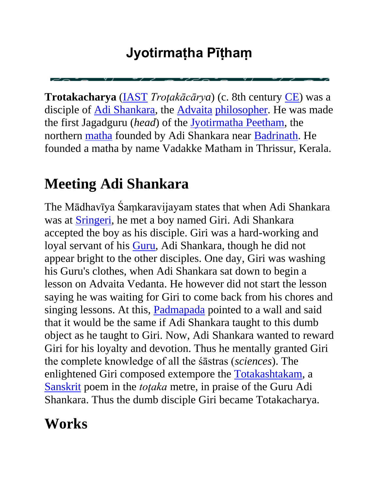### **Jyotirmaṭha Pīṭhaṃ**

**Trotakacharya** [\(IAST](http://en.wikipedia.org/wiki/IAST) *Troţakācārya*) (c. 8th century [CE\)](http://en.wikipedia.org/wiki/Common_Era) was a disciple of [Adi Shankara,](http://en.wikipedia.org/wiki/Adi_Shankara) the [Advaita](http://en.wikipedia.org/wiki/Advaita) [philosopher.](http://en.wikipedia.org/wiki/Hindu_philosophy) He was made the first Jagadguru (*head*) of the [Jyotirmatha Peetham,](http://en.wikipedia.org/wiki/Jyotirmath) the northern [matha](http://en.wikipedia.org/wiki/Matha) founded by Adi Shankara near [Badrinath.](http://en.wikipedia.org/wiki/Badrinath) He founded a matha by name Vadakke Matham in Thrissur, Kerala.

## **Meeting Adi Shankara**

The Mādhavīya Śaṃkaravijayam states that when Adi Shankara was at [Sringeri,](http://en.wikipedia.org/wiki/Sringeri) he met a boy named Giri. Adi Shankara accepted the boy as his disciple. Giri was a hard-working and loyal servant of his [Guru,](http://en.wikipedia.org/wiki/Guru) Adi Shankara, though he did not appear bright to the other disciples. One day, Giri was washing his Guru's clothes, when Adi Shankara sat down to begin a lesson on Advaita Vedanta. He however did not start the lesson saying he was waiting for Giri to come back from his chores and singing lessons. At this, [Padmapada](http://en.wikipedia.org/wiki/Padmapada) pointed to a wall and said that it would be the same if Adi Shankara taught to this dumb object as he taught to Giri. Now, Adi Shankara wanted to reward Giri for his loyalty and devotion. Thus he mentally granted Giri the complete knowledge of all the śāstras (*sciences*). The enlightened Giri composed extempore the [Totakashtakam,](http://en.wikipedia.org/w/index.php?title=Totakashtakam&action=edit&redlink=1) a [Sanskrit](http://en.wikipedia.org/wiki/Sanskrit) poem in the *toţaka* metre, in praise of the Guru Adi Shankara. Thus the dumb disciple Giri became Totakacharya.

## **Works**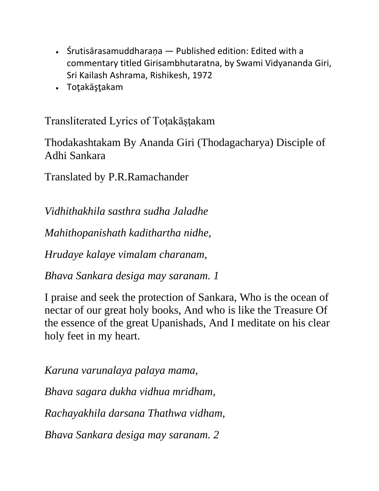- Śrutisārasamuddharana Published edition: Edited with a commentary titled Girisambhutaratna, by Swami Vidyananda Giri, Sri Kailash Ashrama, Rishikesh, 1972
- Toţakāşţakam

Transliterated Lyrics of Toţakāşţakam

Thodakashtakam By Ananda Giri (Thodagacharya) Disciple of Adhi Sankara

Translated by P.R.Ramachander

*Vidhithakhila sasthra sudha Jaladhe*

*Mahithopanishath kadithartha nidhe,*

*Hrudaye kalaye vimalam charanam,*

*Bhava Sankara desiga may saranam. 1*

I praise and seek the protection of Sankara, Who is the ocean of nectar of our great holy books, And who is like the Treasure Of the essence of the great Upanishads, And I meditate on his clear holy feet in my heart.

*Karuna varunalaya palaya mama, Bhava sagara dukha vidhua mridham, Rachayakhila darsana Thathwa vidham, Bhava Sankara desiga may saranam. 2*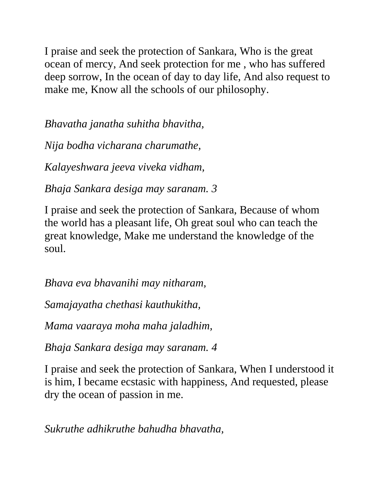I praise and seek the protection of Sankara, Who is the great ocean of mercy, And seek protection for me , who has suffered deep sorrow, In the ocean of day to day life, And also request to make me, Know all the schools of our philosophy.

*Bhavatha janatha suhitha bhavitha,*

*Nija bodha vicharana charumathe,*

*Kalayeshwara jeeva viveka vidham,*

*Bhaja Sankara desiga may saranam. 3*

I praise and seek the protection of Sankara, Because of whom the world has a pleasant life, Oh great soul who can teach the great knowledge, Make me understand the knowledge of the soul.

*Bhava eva bhavanihi may nitharam,*

*Samajayatha chethasi kauthukitha,*

*Mama vaaraya moha maha jaladhim,*

*Bhaja Sankara desiga may saranam. 4*

I praise and seek the protection of Sankara, When I understood it is him, I became ecstasic with happiness, And requested, please dry the ocean of passion in me.

*Sukruthe adhikruthe bahudha bhavatha,*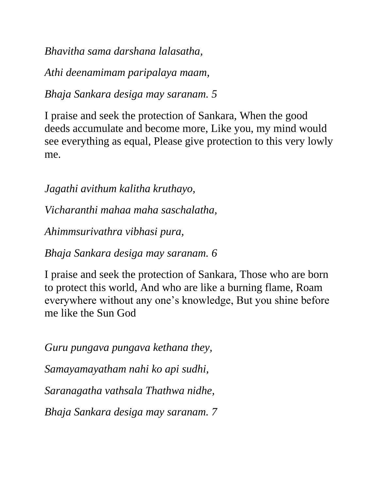*Bhavitha sama darshana lalasatha,*

*Athi deenamimam paripalaya maam,*

*Bhaja Sankara desiga may saranam. 5*

I praise and seek the protection of Sankara, When the good deeds accumulate and become more, Like you, my mind would see everything as equal, Please give protection to this very lowly me.

*Jagathi avithum kalitha kruthayo,*

*Vicharanthi mahaa maha saschalatha,*

*Ahimmsurivathra vibhasi pura,*

*Bhaja Sankara desiga may saranam. 6*

I praise and seek the protection of Sankara, Those who are born to protect this world, And who are like a burning flame, Roam everywhere without any one's knowledge, But you shine before me like the Sun God

*Guru pungava pungava kethana they, Samayamayatham nahi ko api sudhi, Saranagatha vathsala Thathwa nidhe, Bhaja Sankara desiga may saranam. 7*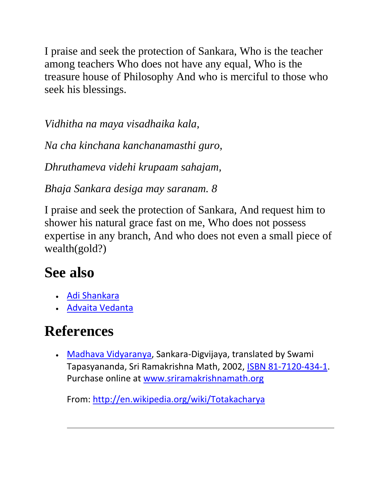I praise and seek the protection of Sankara, Who is the teacher among teachers Who does not have any equal, Who is the treasure house of Philosophy And who is merciful to those who seek his blessings.

*Vidhitha na maya visadhaika kala,*

*Na cha kinchana kanchanamasthi guro,*

*Dhruthameva videhi krupaam sahajam,*

*Bhaja Sankara desiga may saranam. 8*

I praise and seek the protection of Sankara, And request him to shower his natural grace fast on me, Who does not possess expertise in any branch, And who does not even a small piece of wealth(gold?)

## **See also**

- [Adi Shankara](http://en.wikipedia.org/wiki/Adi_Shankara)
- · [Advaita Vedanta](http://en.wikipedia.org/wiki/Advaita_Vedanta)

## **References**

 [Madhava Vidyaranya,](http://en.wikipedia.org/wiki/Vidyaranya) Sankara-Digvijaya, translated by Swami Tapasyananda, Sri Ramakrishna Math, 2002, [ISBN 81-7120-434-1.](http://en.wikipedia.org/wiki/Special:BookSources/8171204341) Purchase online at [www.sriramakrishnamath.org](http://www.sriramakrishnamath.org/books/elist.asp?ProductType=MA15)

From:<http://en.wikipedia.org/wiki/Totakacharya>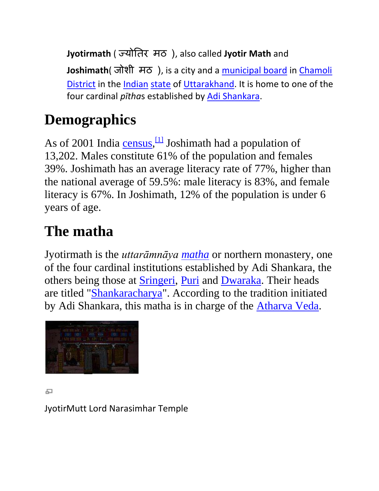**Jyotirmath** ( ज्योतिर मठ ), also called **Jyotir Math** and **Joshimath**( जोशी मठ ), is a city and a [municipal board](http://en.wikipedia.org/wiki/Municipal_board) in [Chamoli](http://en.wikipedia.org/wiki/Chamoli_District)  [District](http://en.wikipedia.org/wiki/Chamoli_District) in the [Indian](http://en.wikipedia.org/wiki/India) [state](http://en.wikipedia.org/wiki/States_and_territories_of_India) of [Uttarakhand.](http://en.wikipedia.org/wiki/Uttarakhand) It is home to one of the four cardinal *pītha*s established by [Adi Shankara.](http://en.wikipedia.org/wiki/Adi_Shankara)

# **Demographics**

As of 2001 India [census,](http://en.wikipedia.org/wiki/Census)  $\frac{1}{1}$  Joshimath had a population of 13,202. Males constitute 61% of the population and females 39%. Joshimath has an average literacy rate of 77%, higher than the national average of 59.5%: male literacy is 83%, and female literacy is 67%. In Joshimath, 12% of the population is under 6 years of age.

## **The matha**

Jyotirmath is the *uttarāmnāya [matha](http://en.wikipedia.org/wiki/Matha)* or northern monastery, one of the four cardinal institutions established by Adi Shankara, the others being those at **Sringeri**, [Puri](http://en.wikipedia.org/wiki/Govardhana_matha) and [Dwaraka.](http://en.wikipedia.org/wiki/Dwarka) Their heads are titled ["Shankaracharya"](http://en.wikipedia.org/wiki/Shankaracharya). According to the tradition initiated by Adi Shankara, this matha is in charge of the [Atharva Veda.](http://en.wikipedia.org/wiki/Atharva_Veda)



#### 모

JyotirMutt Lord Narasimhar Temple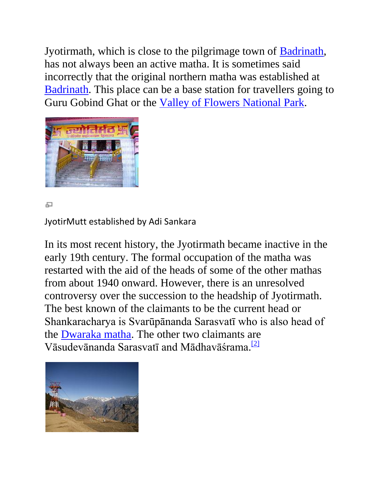Jyotirmath, which is close to the pilgrimage town of [Badrinath,](http://en.wikipedia.org/wiki/Badrinath) has not always been an active matha. It is sometimes said incorrectly that the original northern matha was established at [Badrinath.](http://en.wikipedia.org/wiki/Badrinath) This place can be a base station for travellers going to Guru Gobind Ghat or the [Valley of Flowers National Park.](http://en.wikipedia.org/wiki/Valley_of_Flowers_National_Park)



모

JyotirMutt established by Adi Sankara

In its most recent history, the Jyotirmath became inactive in the early 19th century. The formal occupation of the matha was restarted with the aid of the heads of some of the other mathas from about 1940 onward. However, there is an unresolved controversy over the succession to the headship of Jyotirmath. The best known of the claimants to be the current head or Shankaracharya is Svarūpānanda Sarasvatī who is also head of the [Dwaraka matha.](http://en.wikipedia.org/wiki/Dwaraka_matha) The other two claimants are Vāsudevānanda Sarasvatī and Mādhavāśrama. [\[2\]](http://en.wikipedia.org/wiki/Jyotirmath#cite_note-1)

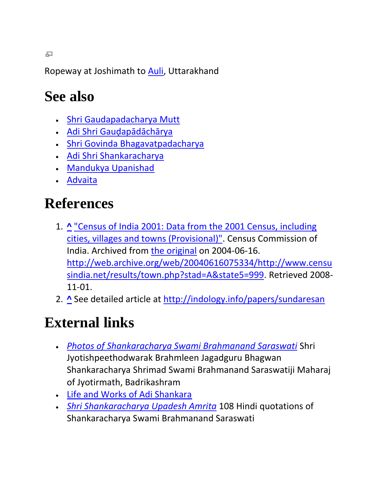Ropeway at Joshimath to [Auli,](http://en.wikipedia.org/wiki/Auli) Uttarakhand

## **See also**

- [Shri Gaudapadacharya Mutt](http://en.wikipedia.org/wiki/Shri_Gaudapadacharya_Mutt)
- Adi Shri Gau[ḍapādāchārya](http://en.wikipedia.org/wiki/Gaudapada)
- [Shri Govinda Bhagavatpadacharya](http://en.wikipedia.org/wiki/Govinda_Bhagavatpada)
- [Adi Shri Shankaracharya](http://en.wikipedia.org/wiki/Adi_Shankara)
- [Mandukya Upanishad](http://en.wikipedia.org/wiki/Mandukya_Upanishad)
- [Advaita](http://en.wikipedia.org/wiki/Advaita)

# **References**

- 1. **[^](http://en.wikipedia.org/wiki/Jyotirmath#cite_ref-0)** ["Census of India 2001: Data from the 2001 Census, including](http://web.archive.org/web/20040616075334/http:/www.censusindia.net/results/town.php?stad=A&state5=999)  [cities, villages and towns \(Provisional\)".](http://web.archive.org/web/20040616075334/http:/www.censusindia.net/results/town.php?stad=A&state5=999) Census Commission of India. Archived from [the original](http://www.censusindia.net/results/town.php?stad=A&state5=999) on 2004-06-16. [http://web.archive.org/web/20040616075334/http://www.censu](http://web.archive.org/web/20040616075334/http:/www.censusindia.net/results/town.php?stad=A&state5=999) [sindia.net/results/town.php?stad=A&state5=999.](http://web.archive.org/web/20040616075334/http:/www.censusindia.net/results/town.php?stad=A&state5=999) Retrieved 2008- 11-01.
- 2. **[^](http://en.wikipedia.org/wiki/Jyotirmath#cite_ref-1)** See detailed article at<http://indology.info/papers/sundaresan>

# **External links**

- *[Photos of Shankaracharya Swami Brahmanand Saraswati](http://www.paulmason.info/gurudev/photogallery.htm)* Shri Jyotishpeethodwarak Brahmleen Jagadguru Bhagwan Shankaracharya Shrimad Swami Brahmanand Saraswatiji Maharaj of Jyotirmath, Badrikashram
- [Life and Works of Adi Shankara](http://www.shankaracharya.org/)
- *[Shri Shankaracharya Upadesh Amrita](http://www.paulmason.info/gurudev/upadesh.htm)* 108 Hindi quotations of Shankaracharya Swami Brahmanand Saraswati

모